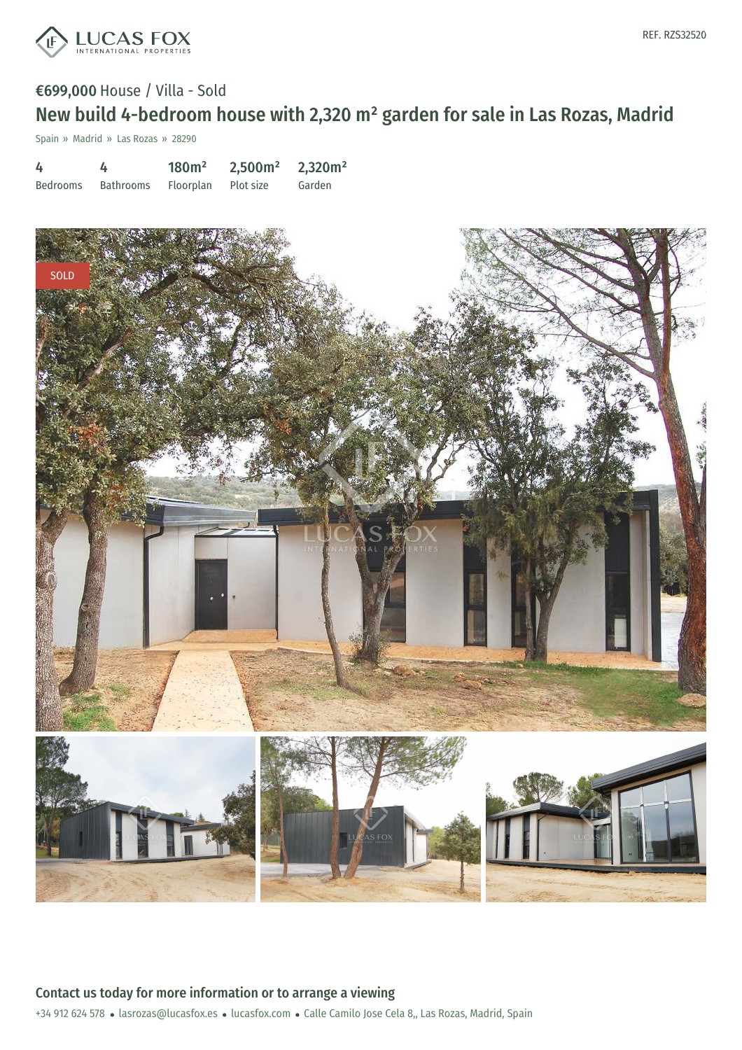

## €699,000 House / Villa - Sold New build 4-bedroom house with 2,320 m² garden for sale in Las Rozas, Madrid

Spain » Madrid » Las Rozas » 28290

| 4        | 4         | 180m <sup>2</sup>   | 2,500m <sup>2</sup> | 2,320m <sup>2</sup> |
|----------|-----------|---------------------|---------------------|---------------------|
| Bedrooms | Bathrooms | Floorplan Plot size |                     | Garden              |

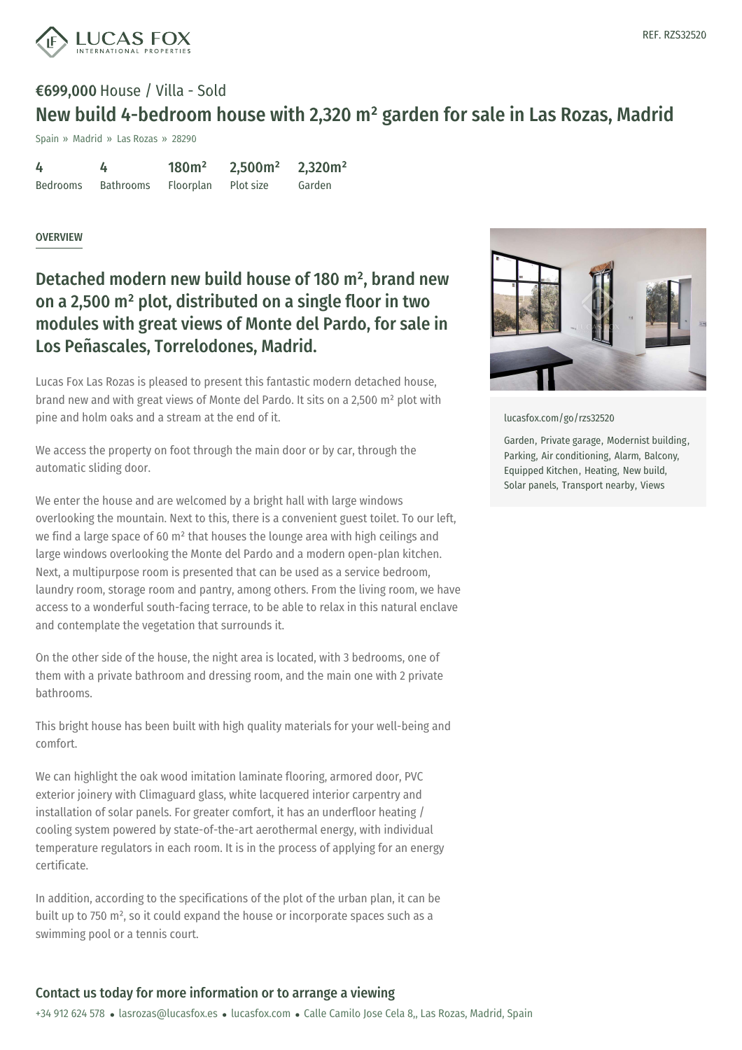

# €699,000 House / Villa - Sold New build 4-bedroom house with 2,320 m² garden for sale in Las Rozas, Madrid

Spain » Madrid » Las Rozas » 28290

| 4               | 4                | 180m <sup>2</sup> | 2,500m <sup>2</sup> | 2,320m <sup>2</sup> |
|-----------------|------------------|-------------------|---------------------|---------------------|
| <b>Bedrooms</b> | <b>Bathrooms</b> | Floorplan         | Plot size           | Garden              |

#### **OVERVIEW**

Detached modern new build house of 180 m² , brand new on a 2,500 m² plot, distributed on a single floor in two modules with great views of Monte del Pardo, for sale in Los Peñascales, Torrelodones, Madrid.

Lucas Fox Las Rozas is pleased to present this fantastic modern detached house, brand new and with great views of Monte del Pardo. It sits on a 2,500 m² plot with pine and holm oaks and a stream at the end of it.

We access the property on foot through the main door or by car, through the automatic sliding door.

We enter the house and are welcomed by a bright hall with large windows overlooking the mountain. Next to this, there is a convenient guest toilet. To our left, we find a large space of 60 m² that houses the lounge area with high ceilings and large windows overlooking the Monte del Pardo and a modern open-plan kitchen. Next, a multipurpose room is presented that can be used as a service bedroom, laundry room, storage room and pantry, among others. From the living room, we have access to a wonderful south-facing terrace, to be able to relax in this natural enclave and contemplate the vegetation that surrounds it.

On the other side of the house, the night area is located, with 3 bedrooms, one of them with a private bathroom and dressing room, and the main one with 2 private bathrooms.

This bright house has been built with high quality materials for your well-being and comfort.

We can highlight the oak wood imitation [laminate](https://www.lucasfox.com) flooring, armored door, PVC exterior joinery with [Climaguard](mailto:lasrozas@lucasfox.es) glass, white lacquered interior carpentry and installation of solar panels. For greater comfort, it has an underfloor heating / cooling system powered by state-of-the-art aerothermal energy, with individual temperature regulators in each room. It is in the process of applying for an energy certificate.

In addition, according to the specifications of the plot of the urban plan, it can be built up to 750 m², so it could expand the house or incorporate spaces such as a swimming pool or a tennis court.



[lucasfox.com/go/rzs32520](https://www.lucasfox.com/go/rzs32520)

Garden, Private garage, Modernist building, Parking, Air conditioning, Alarm, Balcony, Equipped Kitchen, Heating, New build, Solar panels, Transport nearby, Views

### Contact us today for more information or to arrange a viewing

+34 912 624 578 · lasrozas@lucasfox.es · lucasfox.com · Calle Camilo Jose Cela 8,, Las Rozas, Madrid, Spain